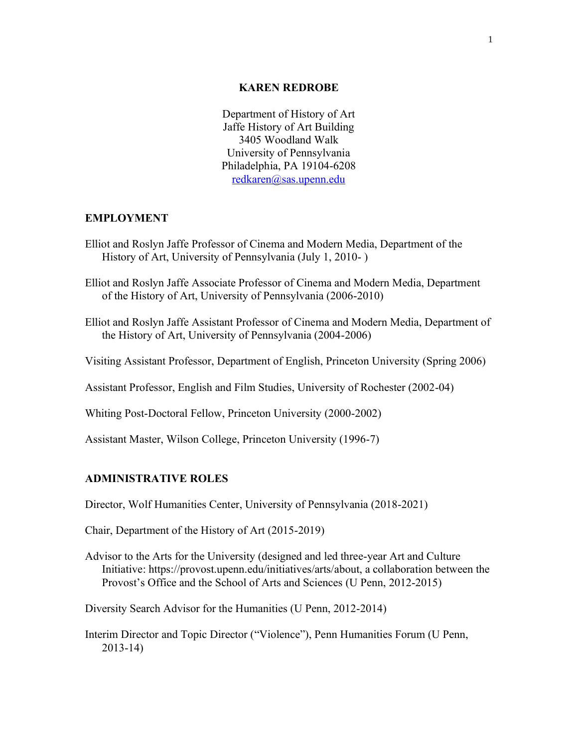#### **KAREN REDROBE**

Department of History of Art Jaffe History of Art Building 3405 Woodland Walk University of Pennsylvania Philadelphia, PA 19104-6208 [redkaren@sas.upenn.edu](mailto:redkaren@sas.upenn.edu)

### **EMPLOYMENT**

- Elliot and Roslyn Jaffe Professor of Cinema and Modern Media, Department of the History of Art, University of Pennsylvania (July 1, 2010- )
- Elliot and Roslyn Jaffe Associate Professor of Cinema and Modern Media, Department of the History of Art, University of Pennsylvania (2006-2010)
- Elliot and Roslyn Jaffe Assistant Professor of Cinema and Modern Media, Department of the History of Art, University of Pennsylvania (2004-2006)
- Visiting Assistant Professor, Department of English, Princeton University (Spring 2006)

Assistant Professor, English and Film Studies, University of Rochester (2002-04)

Whiting Post-Doctoral Fellow, Princeton University (2000-2002)

Assistant Master, Wilson College, Princeton University (1996-7)

# **ADMINISTRATIVE ROLES**

Director, Wolf Humanities Center, University of Pennsylvania (2018-2021)

Chair, Department of the History of Art (2015-2019)

Advisor to the Arts for the University (designed and led three-year Art and Culture Initiative: https://provost.upenn.edu/initiatives/arts/about, a collaboration between the Provost's Office and the School of Arts and Sciences (U Penn, 2012-2015)

Diversity Search Advisor for the Humanities (U Penn, 2012-2014)

Interim Director and Topic Director ("Violence"), Penn Humanities Forum (U Penn, 2013-14)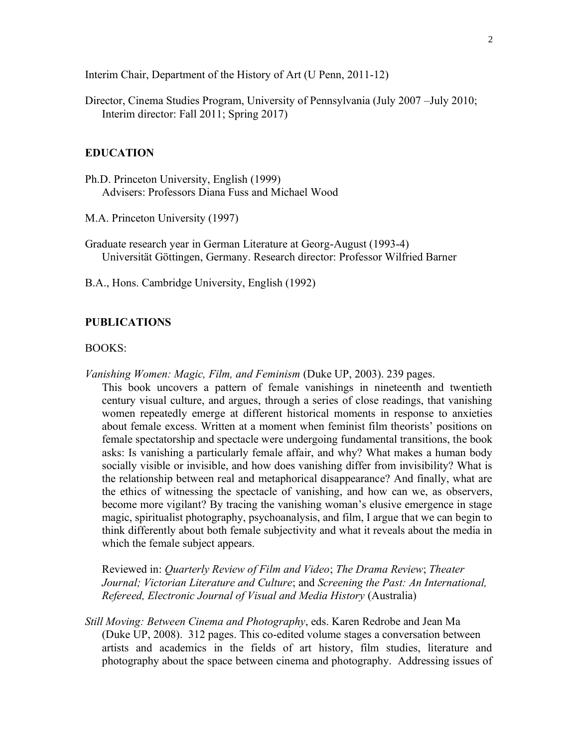Interim Chair, Department of the History of Art (U Penn, 2011-12)

Director, Cinema Studies Program, University of Pennsylvania (July 2007 –July 2010; Interim director: Fall 2011; Spring 2017)

### **EDUCATION**

Ph.D. Princeton University, English (1999) Advisers: Professors Diana Fuss and Michael Wood

M.A. Princeton University (1997)

Graduate research year in German Literature at Georg-August (1993-4) Universität Göttingen, Germany. Research director: Professor Wilfried Barner

B.A., Hons. Cambridge University, English (1992)

#### **PUBLICATIONS**

#### BOOKS:

*Vanishing Women: Magic, Film, and Feminism* (Duke UP, 2003). 239 pages.

This book uncovers a pattern of female vanishings in nineteenth and twentieth century visual culture, and argues, through a series of close readings, that vanishing women repeatedly emerge at different historical moments in response to anxieties about female excess. Written at a moment when feminist film theorists' positions on female spectatorship and spectacle were undergoing fundamental transitions, the book asks: Is vanishing a particularly female affair, and why? What makes a human body socially visible or invisible, and how does vanishing differ from invisibility? What is the relationship between real and metaphorical disappearance? And finally, what are the ethics of witnessing the spectacle of vanishing, and how can we, as observers, become more vigilant? By tracing the vanishing woman's elusive emergence in stage magic, spiritualist photography, psychoanalysis, and film, I argue that we can begin to think differently about both female subjectivity and what it reveals about the media in which the female subject appears.

Reviewed in: *Quarterly Review of Film and Video*; *The Drama Review*; *Theater Journal; Victorian Literature and Culture*; and *Screening the Past: An International, Refereed, Electronic Journal of Visual and Media History* (Australia)

*Still Moving: Between Cinema and Photography*, eds. Karen Redrobe and Jean Ma (Duke UP, 2008). 312 pages. This co-edited volume stages a conversation between artists and academics in the fields of art history, film studies, literature and photography about the space between cinema and photography. Addressing issues of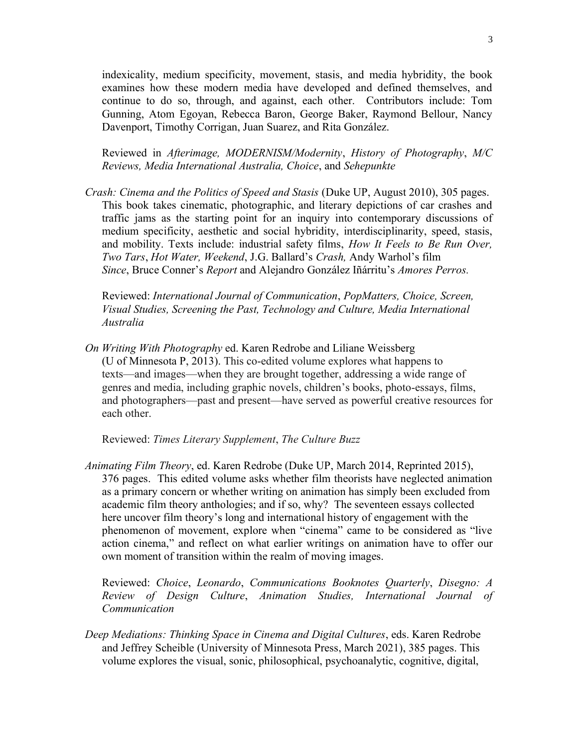3

indexicality, medium specificity, movement, stasis, and media hybridity, the book examines how these modern media have developed and defined themselves, and continue to do so, through, and against, each other. Contributors include: Tom Gunning, Atom Egoyan, Rebecca Baron, George Baker, Raymond Bellour, Nancy Davenport, Timothy Corrigan, Juan Suarez, and Rita González.

Reviewed in *Afterimage, MODERNISM/Modernity*, *History of Photography*, *M/C Reviews, Media International Australia, Choice*, and *Sehepunkte*

*Crash: Cinema and the Politics of Speed and Stasis (Duke UP, August 2010), 305 pages.* This book takes cinematic, photographic, and literary depictions of car crashes and traffic jams as the starting point for an inquiry into contemporary discussions of medium specificity, aesthetic and social hybridity, interdisciplinarity, speed, stasis, and mobility. Texts include: industrial safety films, *How It Feels to Be Run Over, Two Tars*, *Hot Water, Weekend*, J.G. Ballard's *Crash,* Andy Warhol's film *Since*, Bruce Conner's *Report* and Alejandro González Iñárritu's *Amores Perros.*

Reviewed: *International Journal of Communication*, *PopMatters, Choice, Screen, Visual Studies, Screening the Past, Technology and Culture, Media International Australia*

*On Writing With Photography* ed. Karen Redrobe and Liliane Weissberg (U of Minnesota P, 2013). This co-edited volume explores what happens to texts—and images—when they are brought together, addressing a wide range of genres and media, including graphic novels, children's books, photo-essays, films, and photographers—past and present—have served as powerful creative resources for each other.

Reviewed: *Times Literary Supplement*, *The Culture Buzz*

*Animating Film Theory*, ed. Karen Redrobe (Duke UP, March 2014, Reprinted 2015), 376 pages. This edited volume asks whether film theorists have neglected animation as a primary concern or whether writing on animation has simply been excluded from academic film theory anthologies; and if so, why? The seventeen essays collected here uncover film theory's long and international history of engagement with the phenomenon of movement, explore when "cinema" came to be considered as "live action cinema," and reflect on what earlier writings on animation have to offer our own moment of transition within the realm of moving images.

Reviewed: *Choice*, *Leonardo*, *Communications Booknotes Quarterly*, *Disegno: A Review of Design Culture*, *Animation Studies, International Journal of Communication*

*Deep Mediations: Thinking Space in Cinema and Digital Cultures*, eds. Karen Redrobe and Jeffrey Scheible (University of Minnesota Press, March 2021), 385 pages. This volume explores the visual, sonic, philosophical, psychoanalytic, cognitive, digital,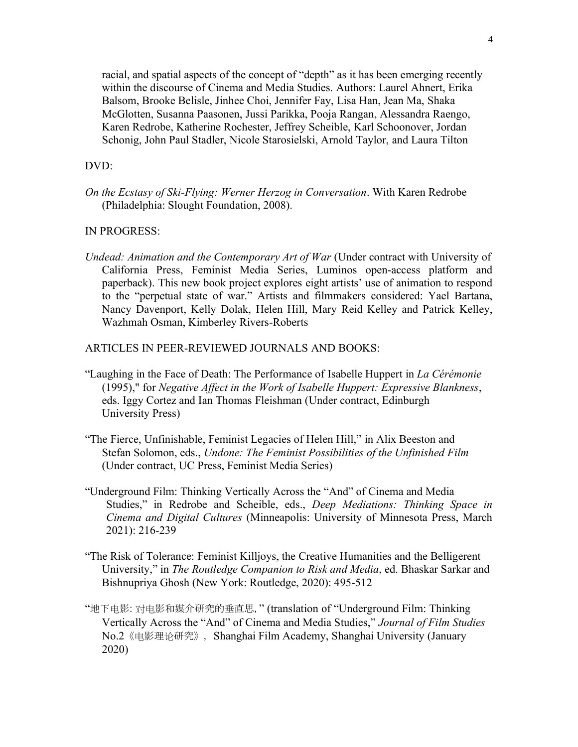racial, and spatial aspects of the concept of "depth" as it has been emerging recently within the discourse of Cinema and Media Studies. Authors: Laurel Ahnert, Erika Balsom, Brooke Belisle, Jinhee Choi, Jennifer Fay, Lisa Han, Jean Ma, Shaka McGlotten, Susanna Paasonen, Jussi Parikka, Pooja Rangan, Alessandra Raengo, Karen Redrobe, Katherine Rochester, Jeffrey Scheible, Karl Schoonover, Jordan Schonig, John Paul Stadler, Nicole Starosielski, Arnold Taylor, and Laura Tilton

## DVD:

*On the Ecstasy of Ski-Flying: Werner Herzog in Conversation*. With Karen Redrobe (Philadelphia: Slought Foundation, 2008).

### IN PROGRESS:

*Undead: Animation and the Contemporary Art of War* (Under contract with University of California Press, Feminist Media Series, Luminos open-access platform and paperback). This new book project explores eight artists' use of animation to respond to the "perpetual state of war." Artists and filmmakers considered: Yael Bartana, Nancy Davenport, Kelly Dolak, Helen Hill, Mary Reid Kelley and Patrick Kelley, Wazhmah Osman, Kimberley Rivers-Roberts

ARTICLES IN PEER-REVIEWED JOURNALS AND BOOKS:

- "Laughing in the Face of Death: The Performance of Isabelle Huppert in *La Cérémonie* (1995)," for *Negative Affect in the Work of Isabelle Huppert: Expressive Blankness*, eds. Iggy Cortez and Ian Thomas Fleishman (Under contract, Edinburgh University Press)
- "The Fierce, Unfinishable, Feminist Legacies of Helen Hill," in Alix Beeston and Stefan Solomon, eds., *Undone: The Feminist Possibilities of the Unfinished Film* (Under contract, UC Press, Feminist Media Series)
- "Underground Film: Thinking Vertically Across the "And" of Cinema and Media Studies," in Redrobe and Scheible, eds., *Deep Mediations: Thinking Space in Cinema and Digital Cultures* (Minneapolis: University of Minnesota Press, March 2021): 216-239
- "The Risk of Tolerance: Feminist Killjoys, the Creative Humanities and the Belligerent University," in *The Routledge Companion to Risk and Media*, ed. Bhaskar Sarkar and Bishnupriya Ghosh (New York: Routledge, 2020): 495-512
- "地下电影: 对电影和媒介研究的垂直思," (translation of "Underground Film: Thinking Vertically Across the "And" of Cinema and Media Studies," *Journal of Film Studies*  No.2《电影理论研究》, Shanghai Film Academy, Shanghai University (January 2020)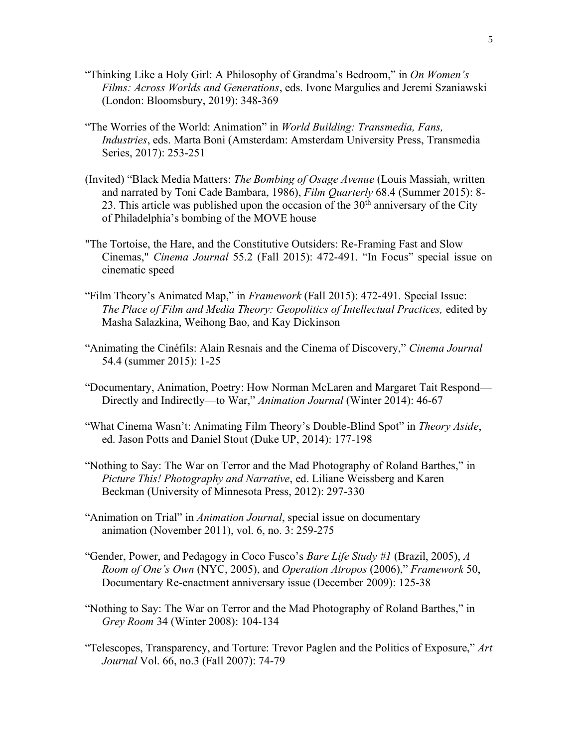- "Thinking Like a Holy Girl: A Philosophy of Grandma's Bedroom," in *On Women's Films: Across Worlds and Generations*, eds. Ivone Margulies and Jeremi Szaniawski (London: Bloomsbury, 2019): 348-369
- "The Worries of the World: Animation" in *World Building: Transmedia, Fans, Industries*, eds. Marta Boni (Amsterdam: Amsterdam University Press, Transmedia Series, 2017): 253-251
- (Invited) "Black Media Matters: *The Bombing of Osage Avenue* (Louis Massiah, written and narrated by Toni Cade Bambara, 1986), *Film Quarterly* 68.4 (Summer 2015): 8- 23. This article was published upon the occasion of the  $30<sup>th</sup>$  anniversary of the City of Philadelphia's bombing of the MOVE house
- "The Tortoise, the Hare, and the Constitutive Outsiders: Re-Framing Fast and Slow Cinemas," *Cinema Journal* 55.2 (Fall 2015): 472-491. "In Focus" special issue on cinematic speed
- "Film Theory's Animated Map," in *Framework* (Fall 2015): 472-491*.* Special Issue: *The Place of Film and Media Theory: Geopolitics of Intellectual Practices,* edited by Masha Salazkina, Weihong Bao, and Kay Dickinson
- "Animating the Cinéfils: Alain Resnais and the Cinema of Discovery," *Cinema Journal*  54.4 (summer 2015): 1-25
- "Documentary, Animation, Poetry: How Norman McLaren and Margaret Tait Respond— Directly and Indirectly—to War," *Animation Journal* (Winter 2014): 46-67
- "What Cinema Wasn't: Animating Film Theory's Double-Blind Spot" in *Theory Aside*, ed. Jason Potts and Daniel Stout (Duke UP, 2014): 177-198
- "Nothing to Say: The War on Terror and the Mad Photography of Roland Barthes," in *Picture This! Photography and Narrative*, ed. Liliane Weissberg and Karen Beckman (University of Minnesota Press, 2012): 297-330
- "Animation on Trial" in *Animation Journal*, special issue on documentary animation (November 2011), vol. 6, no. 3: 259-275
- "Gender, Power, and Pedagogy in Coco Fusco's *Bare Life Study #1* (Brazil, 2005), *A Room of One's Own* (NYC, 2005), and *Operation Atropos* (2006)," *Framework* 50, Documentary Re-enactment anniversary issue (December 2009): 125-38
- "Nothing to Say: The War on Terror and the Mad Photography of Roland Barthes," in *Grey Room* 34 (Winter 2008): 104-134
- "Telescopes, Transparency, and Torture: Trevor Paglen and the Politics of Exposure," *Art Journal* Vol. 66, no.3 (Fall 2007): 74-79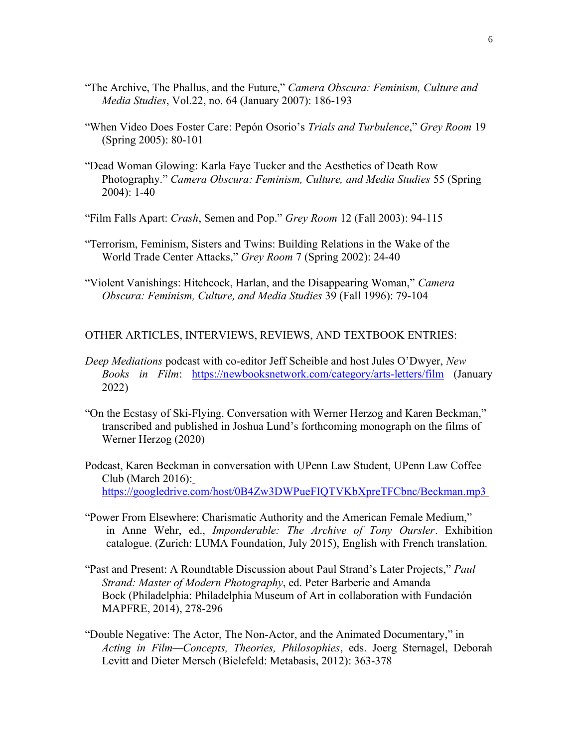- "The Archive, The Phallus, and the Future," *Camera Obscura: Feminism, Culture and Media Studies*, Vol.22, no. 64 (January 2007): 186-193
- "When Video Does Foster Care: Pepón Osorio's *Trials and Turbulence*," *Grey Room* 19 (Spring 2005): 80-101
- "Dead Woman Glowing: Karla Faye Tucker and the Aesthetics of Death Row Photography." *Camera Obscura: Feminism, Culture, and Media Studies* 55 (Spring 2004): 1-40

"Film Falls Apart: *Crash*, Semen and Pop." *Grey Room* 12 (Fall 2003): 94-115

- "Terrorism, Feminism, Sisters and Twins: Building Relations in the Wake of the World Trade Center Attacks," *Grey Room* 7 (Spring 2002): 24-40
- "Violent Vanishings: Hitchcock, Harlan, and the Disappearing Woman," *Camera Obscura: Feminism, Culture, and Media Studies* 39 (Fall 1996): 79-104

OTHER ARTICLES, INTERVIEWS, REVIEWS, AND TEXTBOOK ENTRIES:

- *Deep Mediations* podcast with co-editor Jeff Scheible and host Jules O'Dwyer, *New Books in Film*: <https://newbooksnetwork.com/category/arts-letters/film> (January 2022)
- "On the Ecstasy of Ski-Flying. Conversation with Werner Herzog and Karen Beckman," transcribed and published in Joshua Lund's forthcoming monograph on the films of Werner Herzog (2020)
- Podcast, Karen Beckman in conversation with UPenn Law Student, UPenn Law Coffee Club (March 2016): <https://googledrive.com/host/0B4Zw3DWPueFIQTVKbXpreTFCbnc/Beckman.mp3>
- "Power From Elsewhere: Charismatic Authority and the American Female Medium," in Anne Wehr, ed., *Imponderable: The Archive of Tony Oursler*. Exhibition catalogue. (Zurich: LUMA Foundation, July 2015), English with French translation.
- "Past and Present: A Roundtable Discussion about Paul Strand's Later Projects," *Paul Strand: Master of Modern Photography*, ed. Peter Barberie and Amanda Bock (Philadelphia: Philadelphia Museum of Art in collaboration with Fundación MAPFRE, 2014), 278-296
- "Double Negative: The Actor, The Non-Actor, and the Animated Documentary," in *Acting in Film—Concepts, Theories, Philosophies*, eds. Joerg Sternagel, Deborah Levitt and Dieter Mersch (Bielefeld: Metabasis, 2012): 363-378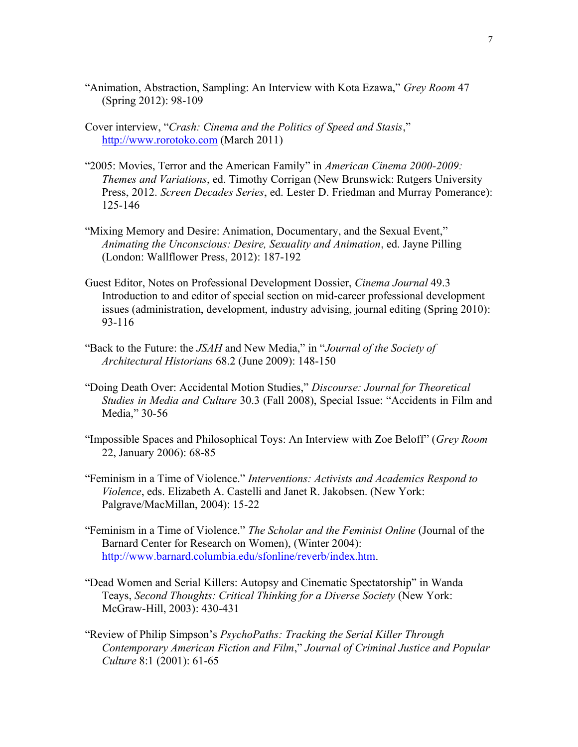- "Animation, Abstraction, Sampling: An Interview with Kota Ezawa," *Grey Room* 47 (Spring 2012): 98-109
- Cover interview, "*Crash: Cinema and the Politics of Speed and Stasis*," [http://www.rorotoko.com](http://www.rorotoko.com/) (March 2011)
- "2005: Movies, Terror and the American Family" in *American Cinema 2000-2009: Themes and Variations*, ed. Timothy Corrigan (New Brunswick: Rutgers University Press, 2012. *Screen Decades Series*, ed. Lester D. Friedman and Murray Pomerance): 125-146
- "Mixing Memory and Desire: Animation, Documentary, and the Sexual Event," *Animating the Unconscious: Desire, Sexuality and Animation*, ed. Jayne Pilling (London: Wallflower Press, 2012): 187-192
- Guest Editor, Notes on Professional Development Dossier, *Cinema Journal* 49.3 Introduction to and editor of special section on mid-career professional development issues (administration, development, industry advising, journal editing (Spring 2010): 93-116
- "Back to the Future: the *JSAH* and New Media," in "*Journal of the Society of Architectural Historians* 68.2 (June 2009): 148-150
- "Doing Death Over: Accidental Motion Studies," *Discourse: Journal for Theoretical Studies in Media and Culture* 30.3 (Fall 2008), Special Issue: "Accidents in Film and Media," 30-56
- "Impossible Spaces and Philosophical Toys: An Interview with Zoe Beloff" (*Grey Room* 22, January 2006): 68-85
- "Feminism in a Time of Violence." *Interventions: Activists and Academics Respond to Violence*, eds. Elizabeth A. Castelli and Janet R. Jakobsen. (New York: Palgrave/MacMillan, 2004): 15-22
- "Feminism in a Time of Violence." *The Scholar and the Feminist Online* (Journal of the Barnard Center for Research on Women), (Winter 2004): http://www.barnard.columbia.edu/sfonline/reverb/index.htm.
- "Dead Women and Serial Killers: Autopsy and Cinematic Spectatorship" in Wanda Teays, *Second Thoughts: Critical Thinking for a Diverse Society* (New York: McGraw-Hill, 2003): 430-431
- "Review of Philip Simpson's *PsychoPaths: Tracking the Serial Killer Through Contemporary American Fiction and Film*," *Journal of Criminal Justice and Popular Culture* 8:1 (2001): 61-65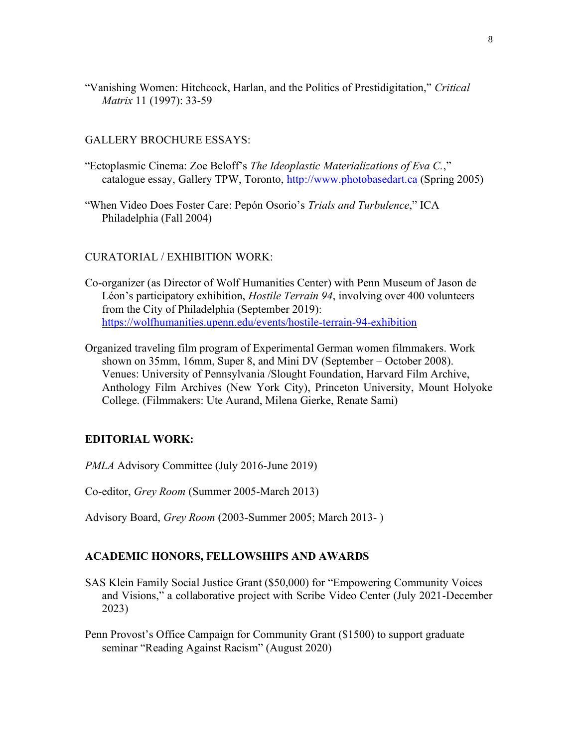"Vanishing Women: Hitchcock, Harlan, and the Politics of Prestidigitation," *Critical Matrix* 11 (1997): 33-59

### GALLERY BROCHURE ESSAYS:

- "Ectoplasmic Cinema: Zoe Beloff's *The Ideoplastic Materializations of Eva C.*," catalogue essay, Gallery TPW, Toronto, [http://www.photobasedart.ca](http://www.photobasedart.ca/) (Spring 2005)
- "When Video Does Foster Care: Pepón Osorio's *Trials and Turbulence*," ICA Philadelphia (Fall 2004)

### CURATORIAL / EXHIBITION WORK:

- Co-organizer (as Director of Wolf Humanities Center) with Penn Museum of Jason de Léon's participatory exhibition, *Hostile Terrain 94*, involving over 400 volunteers from the City of Philadelphia (September 2019): <https://wolfhumanities.upenn.edu/events/hostile-terrain-94-exhibition>
- Organized traveling film program of Experimental German women filmmakers. Work shown on 35mm, 16mm, Super 8, and Mini DV (September – October 2008). Venues: University of Pennsylvania /Slought Foundation, Harvard Film Archive, Anthology Film Archives (New York City), Princeton University, Mount Holyoke College. (Filmmakers: Ute Aurand, Milena Gierke, Renate Sami)

### **EDITORIAL WORK:**

*PMLA* Advisory Committee (July 2016-June 2019)

Co-editor, *Grey Room* (Summer 2005-March 2013)

Advisory Board, *Grey Room* (2003-Summer 2005; March 2013- )

### **ACADEMIC HONORS, FELLOWSHIPS AND AWARDS**

- SAS Klein Family Social Justice Grant (\$50,000) for "Empowering Community Voices and Visions," a collaborative project with Scribe Video Center (July 2021-December 2023)
- Penn Provost's Office Campaign for Community Grant (\$1500) to support graduate seminar "Reading Against Racism" (August 2020)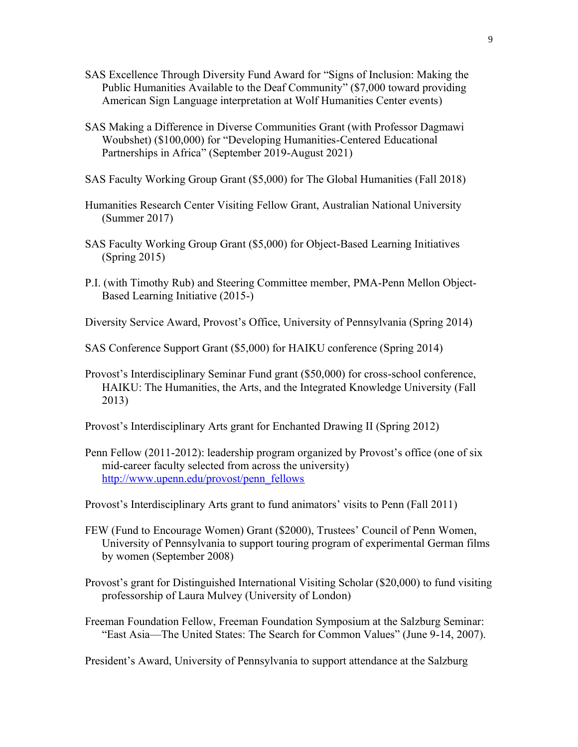- SAS Excellence Through Diversity Fund Award for "Signs of Inclusion: Making the Public Humanities Available to the Deaf Community" (\$7,000 toward providing American Sign Language interpretation at Wolf Humanities Center events)
- SAS Making a Difference in Diverse Communities Grant (with Professor Dagmawi Woubshet) (\$100,000) for "Developing Humanities-Centered Educational Partnerships in Africa" (September 2019-August 2021)
- SAS Faculty Working Group Grant (\$5,000) for The Global Humanities (Fall 2018)
- Humanities Research Center Visiting Fellow Grant, Australian National University (Summer 2017)
- SAS Faculty Working Group Grant (\$5,000) for Object-Based Learning Initiatives (Spring 2015)
- P.I. (with Timothy Rub) and Steering Committee member, PMA-Penn Mellon Object-Based Learning Initiative (2015-)
- Diversity Service Award, Provost's Office, University of Pennsylvania (Spring 2014)
- SAS Conference Support Grant (\$5,000) for HAIKU conference (Spring 2014)
- Provost's Interdisciplinary Seminar Fund grant (\$50,000) for cross-school conference, HAIKU: The Humanities, the Arts, and the Integrated Knowledge University (Fall 2013)
- Provost's Interdisciplinary Arts grant for Enchanted Drawing II (Spring 2012)
- Penn Fellow (2011-2012): leadership program organized by Provost's office (one of six mid-career faculty selected from across the university) [http://www.upenn.edu/provost/penn\\_fellows](http://www.upenn.edu/provost/penn_fellows)
- Provost's Interdisciplinary Arts grant to fund animators' visits to Penn (Fall 2011)
- FEW (Fund to Encourage Women) Grant (\$2000), Trustees' Council of Penn Women, University of Pennsylvania to support touring program of experimental German films by women (September 2008)
- Provost's grant for Distinguished International Visiting Scholar (\$20,000) to fund visiting professorship of Laura Mulvey (University of London)
- Freeman Foundation Fellow, Freeman Foundation Symposium at the Salzburg Seminar: "East Asia—The United States: The Search for Common Values" (June 9-14, 2007).

President's Award, University of Pennsylvania to support attendance at the Salzburg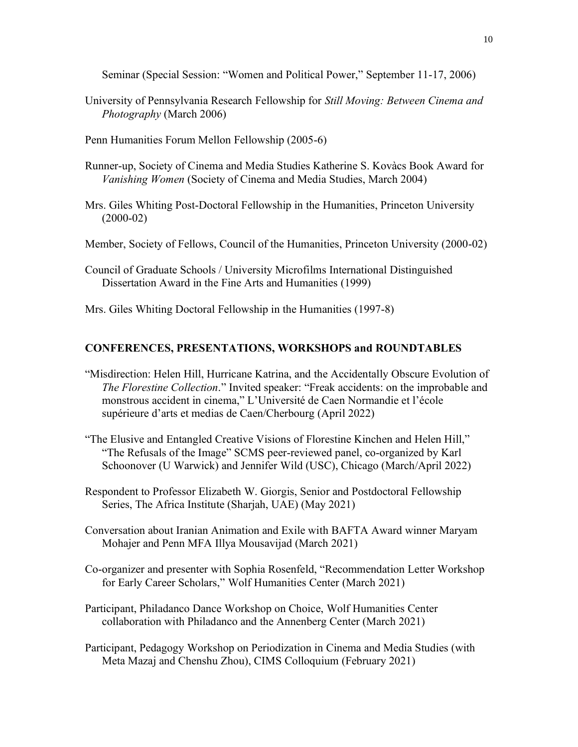Seminar (Special Session: "Women and Political Power," September 11-17, 2006)

- University of Pennsylvania Research Fellowship for *Still Moving: Between Cinema and Photography* (March 2006)
- Penn Humanities Forum Mellon Fellowship (2005-6)
- Runner-up, Society of Cinema and Media Studies Katherine S. Kovàcs Book Award for *Vanishing Women* (Society of Cinema and Media Studies, March 2004)
- Mrs. Giles Whiting Post-Doctoral Fellowship in the Humanities, Princeton University (2000-02)
- Member, Society of Fellows, Council of the Humanities, Princeton University (2000-02)
- Council of Graduate Schools / University Microfilms International Distinguished Dissertation Award in the Fine Arts and Humanities (1999)

Mrs. Giles Whiting Doctoral Fellowship in the Humanities (1997-8)

#### **CONFERENCES, PRESENTATIONS, WORKSHOPS and ROUNDTABLES**

- "Misdirection: Helen Hill, Hurricane Katrina, and the Accidentally Obscure Evolution of *The Florestine Collection*." Invited speaker: "Freak accidents: on the improbable and monstrous accident in cinema," L'Université de Caen Normandie et l'école supérieure d'arts et medias de Caen/Cherbourg (April 2022)
- "The Elusive and Entangled Creative Visions of Florestine Kinchen and Helen Hill," "The Refusals of the Image" SCMS peer-reviewed panel, co-organized by Karl Schoonover (U Warwick) and Jennifer Wild (USC), Chicago (March/April 2022)
- Respondent to Professor Elizabeth W. Giorgis, Senior and Postdoctoral Fellowship Series, The Africa Institute (Sharjah, UAE) (May 2021)
- Conversation about Iranian Animation and Exile with BAFTA Award winner Maryam Mohajer and Penn MFA Illya Mousavijad (March 2021)
- Co-organizer and presenter with Sophia Rosenfeld, "Recommendation Letter Workshop for Early Career Scholars," Wolf Humanities Center (March 2021)
- Participant, Philadanco Dance Workshop on Choice, Wolf Humanities Center collaboration with Philadanco and the Annenberg Center (March 2021)
- Participant, Pedagogy Workshop on Periodization in Cinema and Media Studies (with Meta Mazaj and Chenshu Zhou), CIMS Colloquium (February 2021)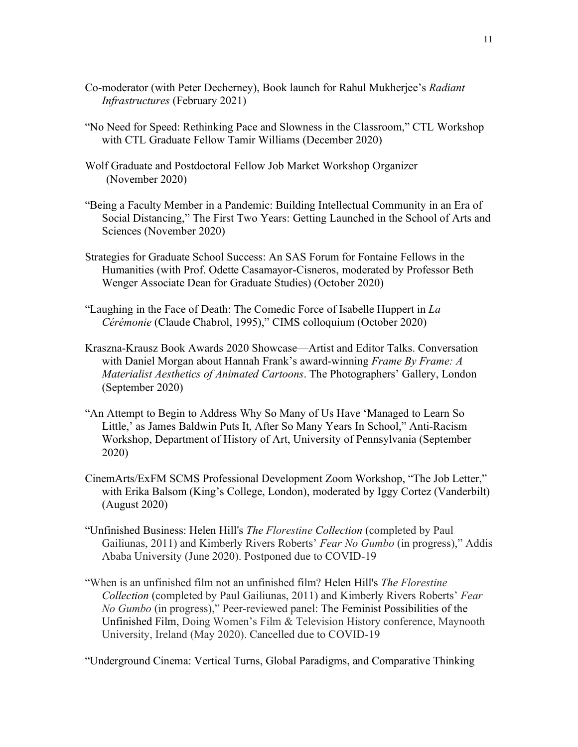- Co-moderator (with Peter Decherney), Book launch for Rahul Mukherjee's *Radiant Infrastructures* (February 2021)
- "No Need for Speed: Rethinking Pace and Slowness in the Classroom," CTL Workshop with CTL Graduate Fellow Tamir Williams (December 2020)
- Wolf Graduate and Postdoctoral Fellow Job Market Workshop Organizer (November 2020)
- "Being a Faculty Member in a Pandemic: Building Intellectual Community in an Era of Social Distancing," The First Two Years: Getting Launched in the School of Arts and Sciences (November 2020)
- Strategies for Graduate School Success: An SAS Forum for Fontaine Fellows in the Humanities (with Prof. Odette Casamayor-Cisneros, moderated by Professor Beth Wenger Associate Dean for Graduate Studies) (October 2020)
- "Laughing in the Face of Death: The Comedic Force of Isabelle Huppert in *La Cérémonie* (Claude Chabrol, 1995)," CIMS colloquium (October 2020)
- Kraszna-Krausz Book Awards 2020 Showcase—Artist and Editor Talks. Conversation with Daniel Morgan about Hannah Frank's award-winning *Frame By Frame: A Materialist Aesthetics of Animated Cartoons*. The Photographers' Gallery, London (September 2020)
- "An Attempt to Begin to Address Why So Many of Us Have 'Managed to Learn So Little,' as James Baldwin Puts It, After So Many Years In School," Anti-Racism Workshop, Department of History of Art, University of Pennsylvania (September 2020)
- CinemArts/ExFM SCMS Professional Development Zoom Workshop, "The Job Letter," with Erika Balsom (King's College, London), moderated by Iggy Cortez (Vanderbilt) (August 2020)
- "Unfinished Business: Helen Hill's *The Florestine Collection* (completed by Paul Gailiunas, 2011) and Kimberly Rivers Roberts' *Fear No Gumbo* (in progress)," Addis Ababa University (June 2020). Postponed due to COVID-19
- "When is an unfinished film not an unfinished film? Helen Hill's *The Florestine Collection* (completed by Paul Gailiunas, 2011) and Kimberly Rivers Roberts' *Fear No Gumbo* (in progress)," Peer-reviewed panel: The Feminist Possibilities of the Unfinished Film, Doing Women's Film & Television History conference, Maynooth University, Ireland (May 2020). Cancelled due to COVID-19

"Underground Cinema: Vertical Turns, Global Paradigms, and Comparative Thinking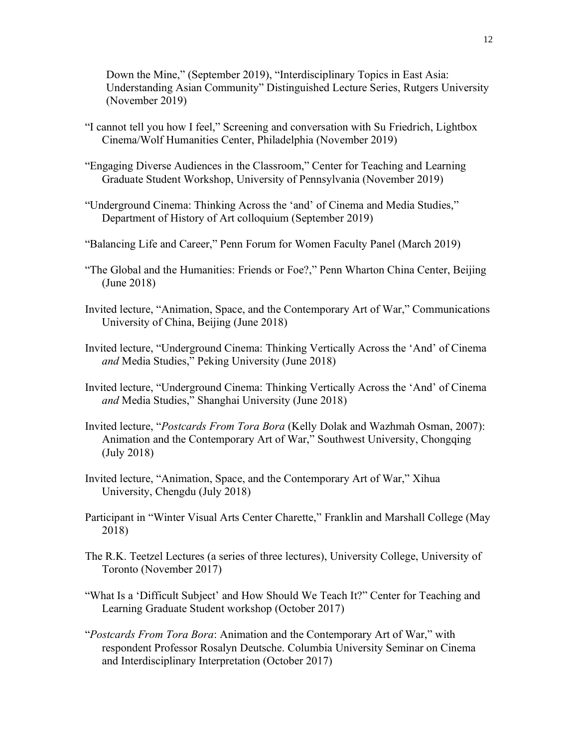Down the Mine," (September 2019), "Interdisciplinary Topics in East Asia: Understanding Asian Community" Distinguished Lecture Series, Rutgers University (November 2019)

- "I cannot tell you how I feel," Screening and conversation with Su Friedrich, Lightbox Cinema/Wolf Humanities Center, Philadelphia (November 2019)
- "Engaging Diverse Audiences in the Classroom," Center for Teaching and Learning Graduate Student Workshop, University of Pennsylvania (November 2019)
- "Underground Cinema: Thinking Across the 'and' of Cinema and Media Studies," Department of History of Art colloquium (September 2019)
- "Balancing Life and Career," Penn Forum for Women Faculty Panel (March 2019)
- "The Global and the Humanities: Friends or Foe?," Penn Wharton China Center, Beijing (June 2018)
- Invited lecture, "Animation, Space, and the Contemporary Art of War," Communications University of China, Beijing (June 2018)
- Invited lecture, "Underground Cinema: Thinking Vertically Across the 'And' of Cinema *and* Media Studies," Peking University (June 2018)
- Invited lecture, "Underground Cinema: Thinking Vertically Across the 'And' of Cinema *and* Media Studies," Shanghai University (June 2018)
- Invited lecture, "*Postcards From Tora Bora* (Kelly Dolak and Wazhmah Osman, 2007): Animation and the Contemporary Art of War," Southwest University, Chongqing (July 2018)
- Invited lecture, "Animation, Space, and the Contemporary Art of War," Xihua University, Chengdu (July 2018)
- Participant in "Winter Visual Arts Center Charette," Franklin and Marshall College (May 2018)
- The R.K. Teetzel Lectures (a series of three lectures), University College, University of Toronto (November 2017)
- "What Is a 'Difficult Subject' and How Should We Teach It?" Center for Teaching and Learning Graduate Student workshop (October 2017)
- "*Postcards From Tora Bora*: Animation and the Contemporary Art of War," with respondent Professor Rosalyn Deutsche. Columbia University Seminar on Cinema and Interdisciplinary Interpretation (October 2017)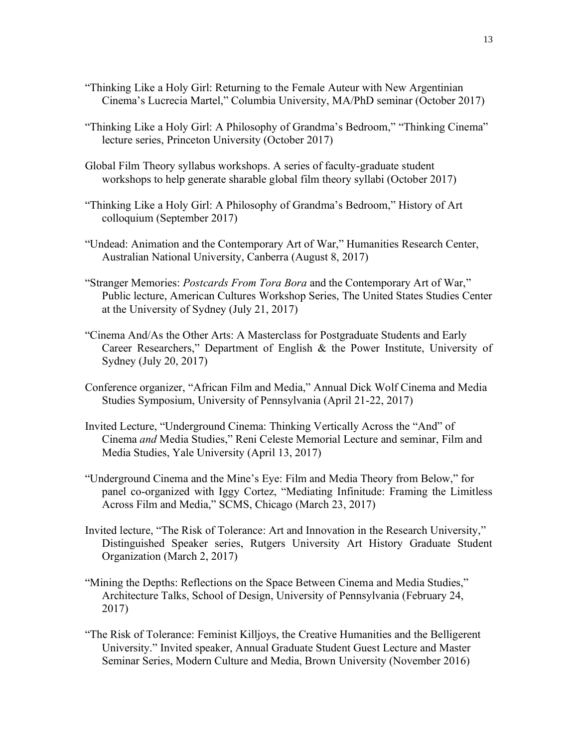- "Thinking Like a Holy Girl: Returning to the Female Auteur with New Argentinian Cinema's Lucrecia Martel," Columbia University, MA/PhD seminar (October 2017)
- "Thinking Like a Holy Girl: A Philosophy of Grandma's Bedroom," "Thinking Cinema" lecture series, Princeton University (October 2017)
- Global Film Theory syllabus workshops. A series of faculty-graduate student workshops to help generate sharable global film theory syllabi (October 2017)
- "Thinking Like a Holy Girl: A Philosophy of Grandma's Bedroom," History of Art colloquium (September 2017)
- "Undead: Animation and the Contemporary Art of War," Humanities Research Center, Australian National University, Canberra (August 8, 2017)
- "Stranger Memories: *Postcards From Tora Bora* and the Contemporary Art of War," Public lecture, American Cultures Workshop Series, The United States Studies Center at the University of Sydney (July 21, 2017)
- "Cinema And/As the Other Arts: A Masterclass for Postgraduate Students and Early Career Researchers," Department of English & the Power Institute, University of Sydney (July 20, 2017)
- Conference organizer, "African Film and Media," Annual Dick Wolf Cinema and Media Studies Symposium, University of Pennsylvania (April 21-22, 2017)
- Invited Lecture, "Underground Cinema: Thinking Vertically Across the "And" of Cinema *and* Media Studies," Reni Celeste Memorial Lecture and seminar, Film and Media Studies, Yale University (April 13, 2017)
- "Underground Cinema and the Mine's Eye: Film and Media Theory from Below," for panel co-organized with Iggy Cortez, "Mediating Infinitude: Framing the Limitless Across Film and Media," SCMS, Chicago (March 23, 2017)
- Invited lecture, "The Risk of Tolerance: Art and Innovation in the Research University," Distinguished Speaker series, Rutgers University Art History Graduate Student Organization (March 2, 2017)
- "Mining the Depths: Reflections on the Space Between Cinema and Media Studies," Architecture Talks, School of Design, University of Pennsylvania (February 24, 2017)
- "The Risk of Tolerance: Feminist Killjoys, the Creative Humanities and the Belligerent University." Invited speaker, Annual Graduate Student Guest Lecture and Master Seminar Series, Modern Culture and Media, Brown University (November 2016)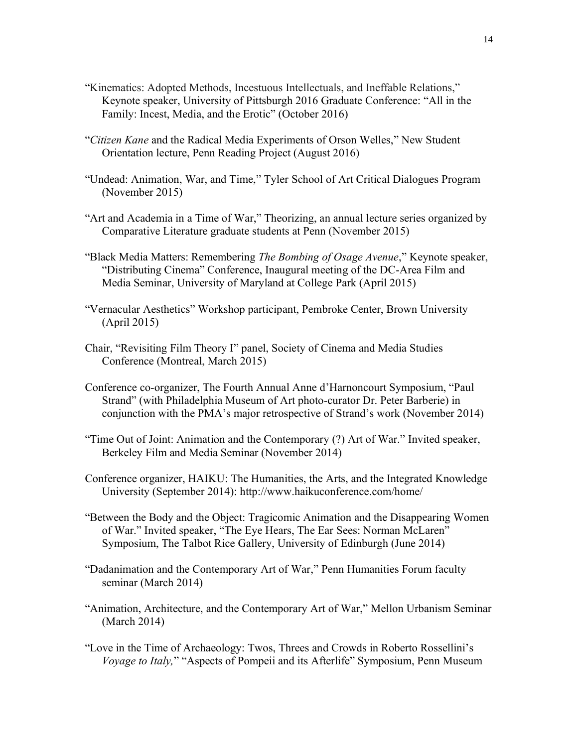- "Kinematics: Adopted Methods, Incestuous Intellectuals, and Ineffable Relations," Keynote speaker, University of Pittsburgh 2016 Graduate Conference: "All in the Family: Incest, Media, and the Erotic" (October 2016)
- "*Citizen Kane* and the Radical Media Experiments of Orson Welles," New Student Orientation lecture, Penn Reading Project (August 2016)
- "Undead: Animation, War, and Time," Tyler School of Art Critical Dialogues Program (November 2015)
- "Art and Academia in a Time of War," Theorizing, an annual lecture series organized by Comparative Literature graduate students at Penn (November 2015)
- "Black Media Matters: Remembering *The Bombing of Osage Avenue*," Keynote speaker, "Distributing Cinema" Conference, Inaugural meeting of the DC-Area Film and Media Seminar, University of Maryland at College Park (April 2015)
- "Vernacular Aesthetics" Workshop participant, Pembroke Center, Brown University (April 2015)
- Chair, "Revisiting Film Theory I" panel, Society of Cinema and Media Studies Conference (Montreal, March 2015)
- Conference co-organizer, The Fourth Annual Anne d'Harnoncourt Symposium, "Paul Strand" (with Philadelphia Museum of Art photo-curator Dr. Peter Barberie) in conjunction with the PMA's major retrospective of Strand's work (November 2014)
- "Time Out of Joint: Animation and the Contemporary (?) Art of War." Invited speaker, Berkeley Film and Media Seminar (November 2014)
- Conference organizer, HAIKU: The Humanities, the Arts, and the Integrated Knowledge University (September 2014): http://www.haikuconference.com/home/
- "Between the Body and the Object: Tragicomic Animation and the Disappearing Women of War." Invited speaker, "The Eye Hears, The Ear Sees: Norman McLaren" Symposium, The Talbot Rice Gallery, University of Edinburgh (June 2014)
- "Dadanimation and the Contemporary Art of War," Penn Humanities Forum faculty seminar (March 2014)
- "Animation, Architecture, and the Contemporary Art of War," Mellon Urbanism Seminar (March 2014)
- "Love in the Time of Archaeology: Twos, Threes and Crowds in Roberto Rossellini's *Voyage to Italy,*" "Aspects of Pompeii and its Afterlife" Symposium, Penn Museum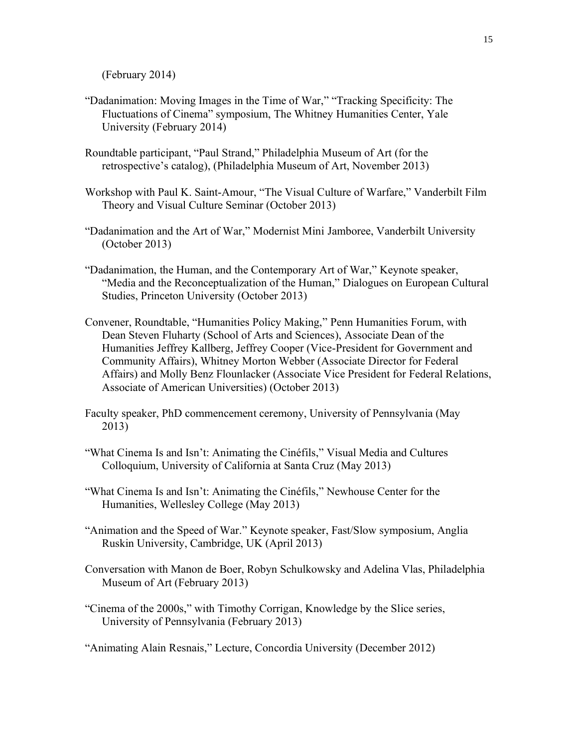(February 2014)

- "Dadanimation: Moving Images in the Time of War," "Tracking Specificity: The Fluctuations of Cinema" symposium, The Whitney Humanities Center, Yale University (February 2014)
- Roundtable participant, "Paul Strand," Philadelphia Museum of Art (for the retrospective's catalog), (Philadelphia Museum of Art, November 2013)
- Workshop with Paul K. Saint-Amour, "The Visual Culture of Warfare," Vanderbilt Film Theory and Visual Culture Seminar (October 2013)
- "Dadanimation and the Art of War," Modernist Mini Jamboree, Vanderbilt University (October 2013)
- "Dadanimation, the Human, and the Contemporary Art of War," Keynote speaker, "Media and the Reconceptualization of the Human," Dialogues on European Cultural Studies, Princeton University (October 2013)
- Convener, Roundtable, "Humanities Policy Making," Penn Humanities Forum, with Dean Steven Fluharty (School of Arts and Sciences), Associate Dean of the Humanities Jeffrey Kallberg, Jeffrey Cooper (Vice-President for Government and Community Affairs), Whitney Morton Webber (Associate Director for Federal Affairs) and Molly Benz Flounlacker (Associate Vice President for Federal Relations, Associate of American Universities) (October 2013)
- Faculty speaker, PhD commencement ceremony, University of Pennsylvania (May 2013)
- "What Cinema Is and Isn't: Animating the Cinéfils," Visual Media and Cultures Colloquium, University of California at Santa Cruz (May 2013)
- "What Cinema Is and Isn't: Animating the Cinéfils," Newhouse Center for the Humanities, Wellesley College (May 2013)
- "Animation and the Speed of War." Keynote speaker, Fast/Slow symposium, Anglia Ruskin University, Cambridge, UK (April 2013)
- Conversation with Manon de Boer, Robyn Schulkowsky and Adelina Vlas, Philadelphia Museum of Art (February 2013)
- "Cinema of the 2000s," with Timothy Corrigan, Knowledge by the Slice series, University of Pennsylvania (February 2013)
- "Animating Alain Resnais," Lecture, Concordia University (December 2012)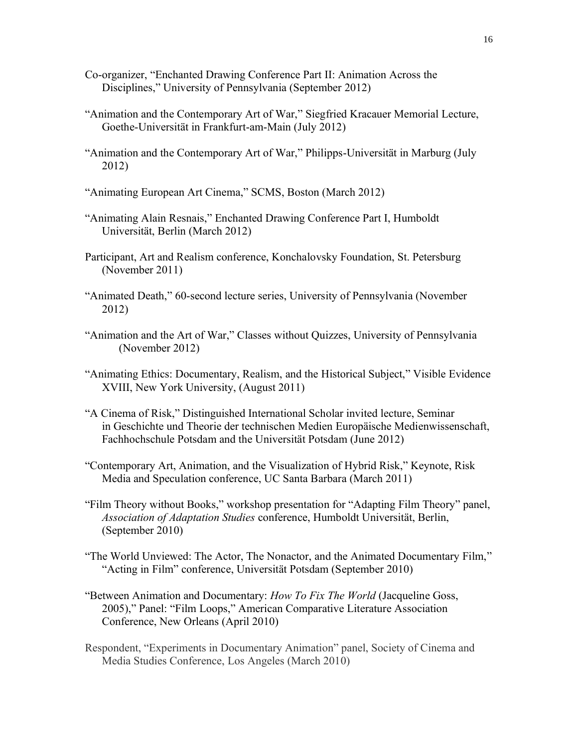- Co-organizer, "Enchanted Drawing Conference Part II: Animation Across the Disciplines," University of Pennsylvania (September 2012)
- "Animation and the Contemporary Art of War," Siegfried Kracauer Memorial Lecture, Goethe-Universität in Frankfurt-am-Main (July 2012)
- "Animation and the Contemporary Art of War," Philipps-Universität in Marburg (July 2012)
- "Animating European Art Cinema," SCMS, Boston (March 2012)
- "Animating Alain Resnais," Enchanted Drawing Conference Part I, Humboldt Universität, Berlin (March 2012)
- Participant, Art and Realism conference, Konchalovsky Foundation, St. Petersburg (November 2011)
- "Animated Death," 60-second lecture series, University of Pennsylvania (November 2012)
- "Animation and the Art of War," Classes without Quizzes, University of Pennsylvania (November 2012)
- "Animating Ethics: Documentary, Realism, and the Historical Subject," Visible Evidence XVIII, New York University, (August 2011)
- "A Cinema of Risk," Distinguished International Scholar invited lecture, Seminar in Geschichte und Theorie der technischen Medien Europäische Medienwissenschaft, Fachhochschule Potsdam and the Universität Potsdam (June 2012)
- "Contemporary Art, Animation, and the Visualization of Hybrid Risk," Keynote, Risk Media and Speculation conference, UC Santa Barbara (March 2011)
- "Film Theory without Books," workshop presentation for "Adapting Film Theory" panel, *Association of Adaptation Studies* conference, Humboldt Universität, Berlin, (September 2010)
- "The World Unviewed: The Actor, The Nonactor, and the Animated Documentary Film," "Acting in Film" conference, Universität Potsdam (September 2010)
- "Between Animation and Documentary: *How To Fix The World* (Jacqueline Goss, 2005)," Panel: "Film Loops," American Comparative Literature Association Conference, New Orleans (April 2010)
- Respondent, "Experiments in Documentary Animation" panel, Society of Cinema and Media Studies Conference, Los Angeles (March 2010)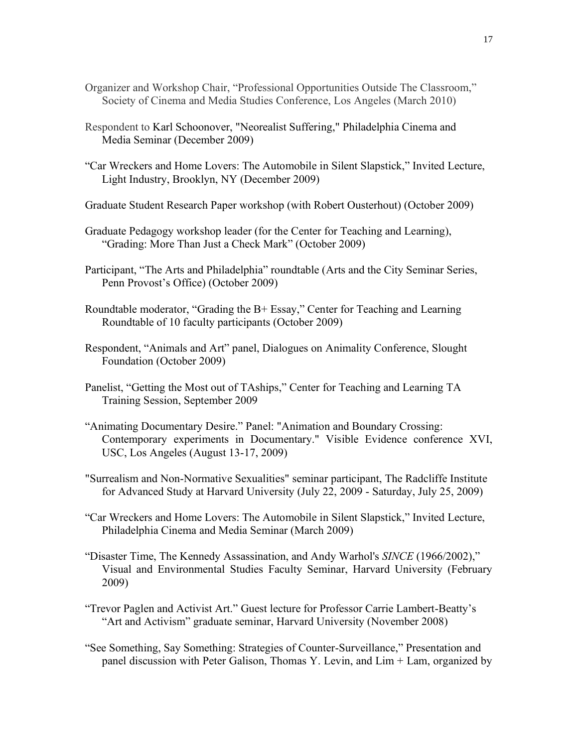- Organizer and Workshop Chair, "Professional Opportunities Outside The Classroom," Society of Cinema and Media Studies Conference, Los Angeles (March 2010)
- Respondent to Karl Schoonover, "Neorealist Suffering," Philadelphia Cinema and Media Seminar (December 2009)
- "Car Wreckers and Home Lovers: The Automobile in Silent Slapstick," Invited Lecture, Light Industry, Brooklyn, NY (December 2009)
- Graduate Student Research Paper workshop (with Robert Ousterhout) (October 2009)
- Graduate Pedagogy workshop leader (for the Center for Teaching and Learning), "Grading: More Than Just a Check Mark" (October 2009)
- Participant, "The Arts and Philadelphia" roundtable (Arts and the City Seminar Series, Penn Provost's Office) (October 2009)
- Roundtable moderator, "Grading the B+ Essay," Center for Teaching and Learning Roundtable of 10 faculty participants (October 2009)
- Respondent, "Animals and Art" panel, Dialogues on Animality Conference, Slought Foundation (October 2009)
- Panelist, "Getting the Most out of TAships," Center for Teaching and Learning TA Training Session, September 2009
- "Animating Documentary Desire." Panel: "Animation and Boundary Crossing: Contemporary experiments in Documentary." Visible Evidence conference XVI, USC, Los Angeles (August 13-17, 2009)
- "Surrealism and Non-Normative Sexualities" seminar participant, The Radcliffe Institute for Advanced Study at Harvard University (July 22, 2009 - Saturday, July 25, 2009)
- "Car Wreckers and Home Lovers: The Automobile in Silent Slapstick," Invited Lecture, Philadelphia Cinema and Media Seminar (March 2009)
- "Disaster Time, The Kennedy Assassination, and Andy Warhol's *SINCE* (1966/2002)," Visual and Environmental Studies Faculty Seminar, Harvard University (February 2009)
- "Trevor Paglen and Activist Art." Guest lecture for Professor Carrie Lambert-Beatty's "Art and Activism" graduate seminar, Harvard University (November 2008)
- "See Something, Say Something: Strategies of Counter-Surveillance," Presentation and panel discussion with Peter Galison, Thomas Y. Levin, and Lim + Lam, organized by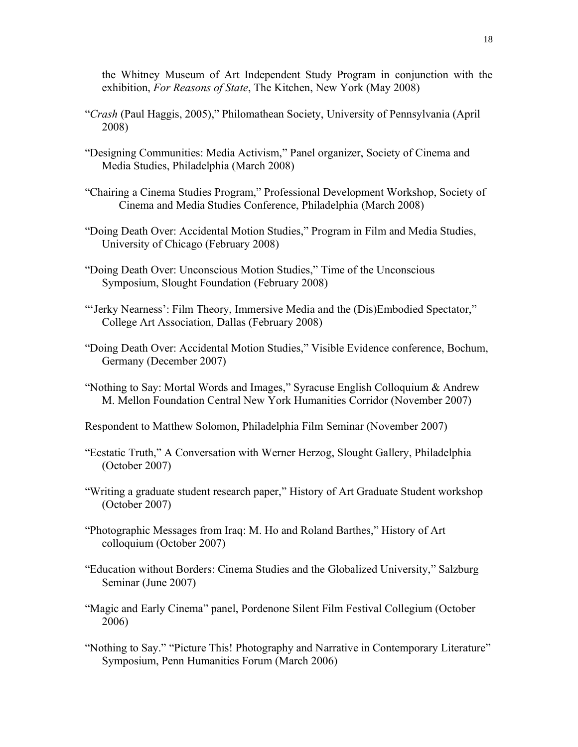the Whitney Museum of Art Independent Study Program in conjunction with the exhibition, *For Reasons of State*, The Kitchen, New York (May 2008)

- "*Crash* (Paul Haggis, 2005)," Philomathean Society, University of Pennsylvania (April 2008)
- "Designing Communities: Media Activism," Panel organizer, Society of Cinema and Media Studies, Philadelphia (March 2008)
- "Chairing a Cinema Studies Program," Professional Development Workshop, Society of Cinema and Media Studies Conference, Philadelphia (March 2008)
- "Doing Death Over: Accidental Motion Studies," Program in Film and Media Studies, University of Chicago (February 2008)
- "Doing Death Over: Unconscious Motion Studies," Time of the Unconscious Symposium, Slought Foundation (February 2008)
- "'Jerky Nearness': Film Theory, Immersive Media and the (Dis)Embodied Spectator," College Art Association, Dallas (February 2008)
- "Doing Death Over: Accidental Motion Studies," Visible Evidence conference, Bochum, Germany (December 2007)
- "Nothing to Say: Mortal Words and Images," Syracuse English Colloquium & Andrew M. Mellon Foundation Central New York Humanities Corridor (November 2007)
- Respondent to Matthew Solomon, Philadelphia Film Seminar (November 2007)
- "Ecstatic Truth," A Conversation with Werner Herzog, Slought Gallery, Philadelphia (October 2007)
- "Writing a graduate student research paper," History of Art Graduate Student workshop (October 2007)
- "Photographic Messages from Iraq: M. Ho and Roland Barthes," History of Art colloquium (October 2007)
- "Education without Borders: Cinema Studies and the Globalized University," Salzburg Seminar (June 2007)
- "Magic and Early Cinema" panel, Pordenone Silent Film Festival Collegium (October 2006)
- "Nothing to Say." "Picture This! Photography and Narrative in Contemporary Literature" Symposium, Penn Humanities Forum (March 2006)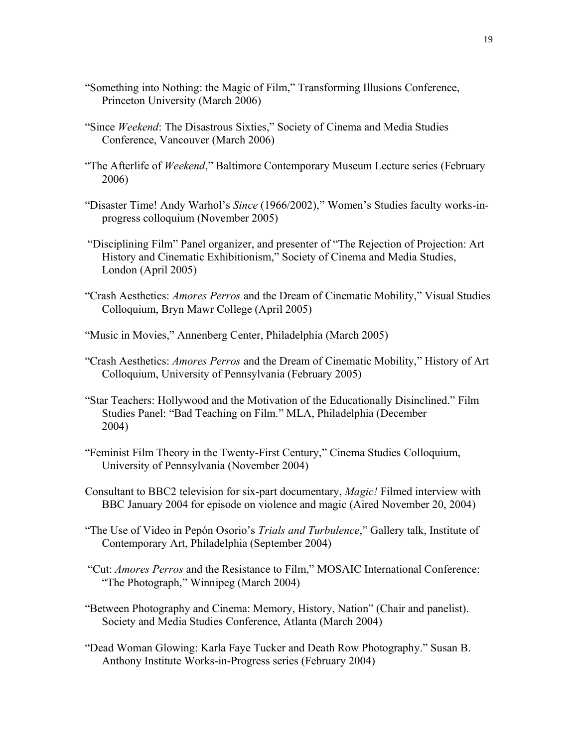- "Something into Nothing: the Magic of Film," Transforming Illusions Conference, Princeton University (March 2006)
- "Since *Weekend*: The Disastrous Sixties," Society of Cinema and Media Studies Conference, Vancouver (March 2006)
- "The Afterlife of *Weekend*," Baltimore Contemporary Museum Lecture series (February 2006)
- "Disaster Time! Andy Warhol's *Since* (1966/2002)," Women's Studies faculty works-inprogress colloquium (November 2005)
- "Disciplining Film" Panel organizer, and presenter of "The Rejection of Projection: Art History and Cinematic Exhibitionism," Society of Cinema and Media Studies, London (April 2005)
- "Crash Aesthetics: *Amores Perros* and the Dream of Cinematic Mobility," Visual Studies Colloquium, Bryn Mawr College (April 2005)
- "Music in Movies," Annenberg Center, Philadelphia (March 2005)
- "Crash Aesthetics: *Amores Perros* and the Dream of Cinematic Mobility," History of Art Colloquium, University of Pennsylvania (February 2005)
- "Star Teachers: Hollywood and the Motivation of the Educationally Disinclined." Film Studies Panel: "Bad Teaching on Film." MLA, Philadelphia (December 2004)
- "Feminist Film Theory in the Twenty-First Century," Cinema Studies Colloquium, University of Pennsylvania (November 2004)
- Consultant to BBC2 television for six-part documentary, *Magic!* Filmed interview with BBC January 2004 for episode on violence and magic (Aired November 20, 2004)
- "The Use of Video in Pepón Osorio's *Trials and Turbulence*," Gallery talk, Institute of Contemporary Art, Philadelphia (September 2004)
- "Cut: *Amores Perros* and the Resistance to Film," MOSAIC International Conference: "The Photograph," Winnipeg (March 2004)
- "Between Photography and Cinema: Memory, History, Nation" (Chair and panelist). Society and Media Studies Conference, Atlanta (March 2004)
- "Dead Woman Glowing: Karla Faye Tucker and Death Row Photography." Susan B. Anthony Institute Works-in-Progress series (February 2004)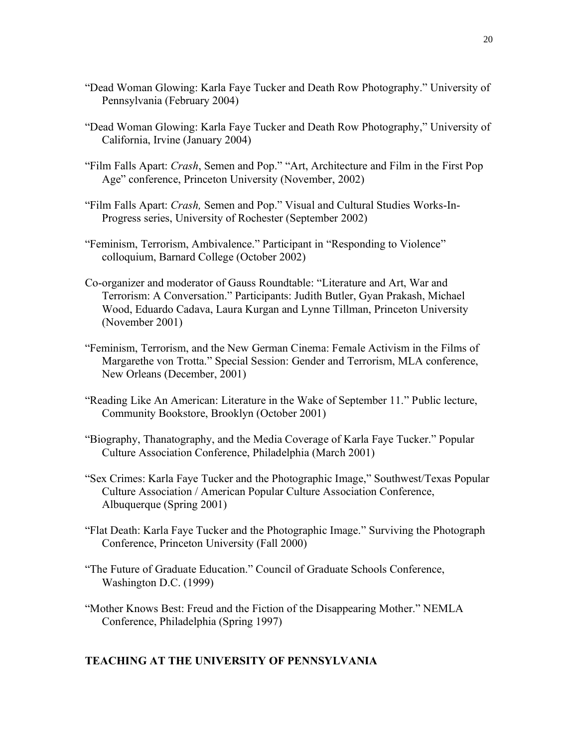- "Dead Woman Glowing: Karla Faye Tucker and Death Row Photography." University of Pennsylvania (February 2004)
- "Dead Woman Glowing: Karla Faye Tucker and Death Row Photography," University of California, Irvine (January 2004)
- "Film Falls Apart: *Crash*, Semen and Pop." "Art, Architecture and Film in the First Pop Age" conference, Princeton University (November, 2002)
- "Film Falls Apart: *Crash,* Semen and Pop." Visual and Cultural Studies Works-In-Progress series, University of Rochester (September 2002)
- "Feminism, Terrorism, Ambivalence." Participant in "Responding to Violence" colloquium, Barnard College (October 2002)
- Co-organizer and moderator of Gauss Roundtable: "Literature and Art, War and Terrorism: A Conversation." Participants: Judith Butler, Gyan Prakash, Michael Wood, Eduardo Cadava, Laura Kurgan and Lynne Tillman, Princeton University (November 2001)
- "Feminism, Terrorism, and the New German Cinema: Female Activism in the Films of Margarethe von Trotta." Special Session: Gender and Terrorism, MLA conference, New Orleans (December, 2001)
- "Reading Like An American: Literature in the Wake of September 11." Public lecture, Community Bookstore, Brooklyn (October 2001)
- "Biography, Thanatography, and the Media Coverage of Karla Faye Tucker." Popular Culture Association Conference, Philadelphia (March 2001)
- "Sex Crimes: Karla Faye Tucker and the Photographic Image," Southwest/Texas Popular Culture Association / American Popular Culture Association Conference, Albuquerque (Spring 2001)
- "Flat Death: Karla Faye Tucker and the Photographic Image." Surviving the Photograph Conference, Princeton University (Fall 2000)
- "The Future of Graduate Education." Council of Graduate Schools Conference, Washington D.C. (1999)
- "Mother Knows Best: Freud and the Fiction of the Disappearing Mother." NEMLA Conference, Philadelphia (Spring 1997)

# **TEACHING AT THE UNIVERSITY OF PENNSYLVANIA**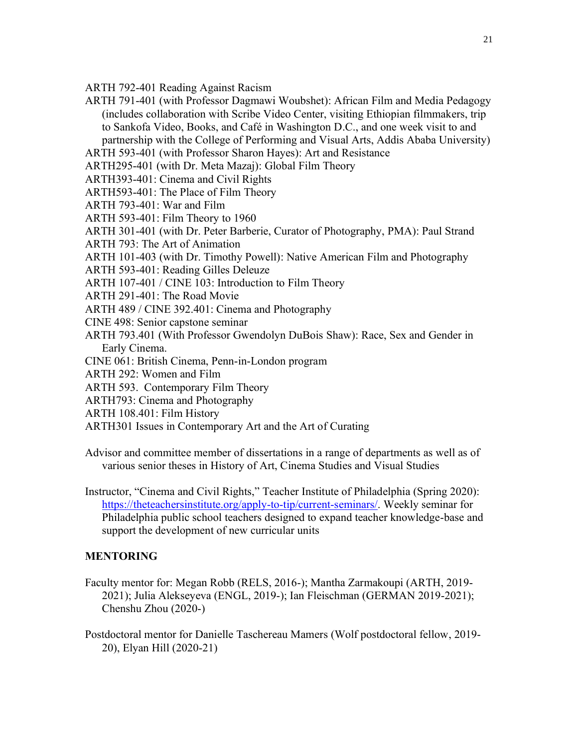ARTH 792-401 Reading Against Racism

ARTH 791-401 (with Professor Dagmawi Woubshet): African Film and Media Pedagogy (includes collaboration with Scribe Video Center, visiting Ethiopian filmmakers, trip to Sankofa Video, Books, and Café in Washington D.C., and one week visit to and partnership with the College of Performing and Visual Arts, Addis Ababa University)

ARTH 593-401 (with Professor Sharon Hayes): Art and Resistance

ARTH295-401 (with Dr. Meta Mazaj): Global Film Theory

ARTH393-401: Cinema and Civil Rights

ARTH593-401: The Place of Film Theory

ARTH 793-401: War and Film

ARTH 593-401: Film Theory to 1960

- ARTH 301-401 (with Dr. Peter Barberie, Curator of Photography, PMA): Paul Strand
- ARTH 793: The Art of Animation

ARTH 101-403 (with Dr. Timothy Powell): Native American Film and Photography

- ARTH 593-401: Reading Gilles Deleuze
- ARTH 107-401 / CINE 103: Introduction to Film Theory
- ARTH 291-401: The Road Movie
- ARTH 489 / CINE 392.401: Cinema and Photography
- CINE 498: Senior capstone seminar
- ARTH 793.401 (With Professor Gwendolyn DuBois Shaw): Race, Sex and Gender in Early Cinema.
- CINE 061: British Cinema, Penn-in-London program
- ARTH 292: Women and Film
- ARTH 593. Contemporary Film Theory
- ARTH793: Cinema and Photography
- ARTH 108.401: Film History
- ARTH301 Issues in Contemporary Art and the Art of Curating
- Advisor and committee member of dissertations in a range of departments as well as of various senior theses in History of Art, Cinema Studies and Visual Studies
- Instructor, "Cinema and Civil Rights," Teacher Institute of Philadelphia (Spring 2020): [https://theteachersinstitute.org/apply-to-tip/current-seminars/.](https://theteachersinstitute.org/apply-to-tip/current-seminars/) Weekly seminar for Philadelphia public school teachers designed to expand teacher knowledge-base and support the development of new curricular units

# **MENTORING**

Faculty mentor for: Megan Robb (RELS, 2016-); Mantha Zarmakoupi (ARTH, 2019- 2021); Julia Alekseyeva (ENGL, 2019-); Ian Fleischman (GERMAN 2019-2021); Chenshu Zhou (2020-)

Postdoctoral mentor for Danielle Taschereau Mamers (Wolf postdoctoral fellow, 2019- 20), Elyan Hill (2020-21)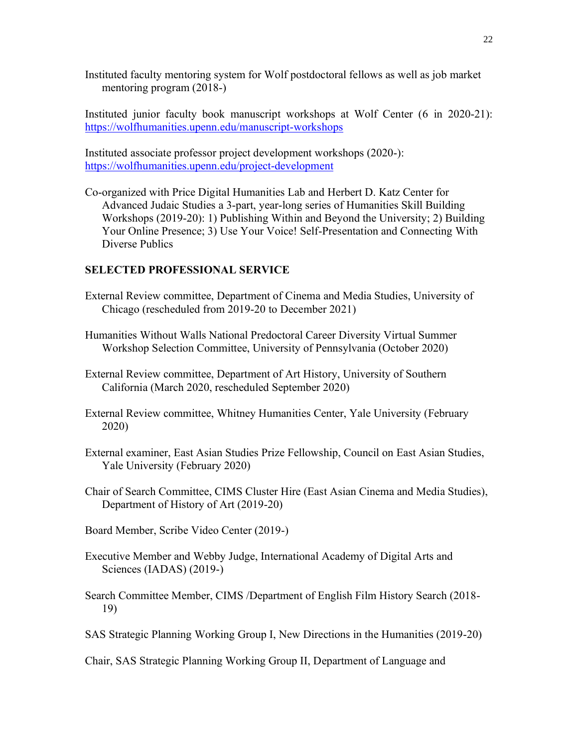Instituted faculty mentoring system for Wolf postdoctoral fellows as well as job market mentoring program (2018-)

Instituted junior faculty book manuscript workshops at Wolf Center (6 in 2020-21): <https://wolfhumanities.upenn.edu/manuscript-workshops>

Instituted associate professor project development workshops (2020-): <https://wolfhumanities.upenn.edu/project-development>

Co-organized with Price Digital Humanities Lab and Herbert D. Katz Center for Advanced Judaic Studies a 3-part, year-long series of Humanities Skill Building Workshops (2019-20): 1) Publishing Within and Beyond the University; 2) Building Your Online Presence; 3) Use Your Voice! Self-Presentation and Connecting With Diverse Publics

#### **SELECTED PROFESSIONAL SERVICE**

- External Review committee, Department of Cinema and Media Studies, University of Chicago (rescheduled from 2019-20 to December 2021)
- Humanities Without Walls National Predoctoral Career Diversity Virtual Summer Workshop Selection Committee, University of Pennsylvania (October 2020)
- External Review committee, Department of Art History, University of Southern California (March 2020, rescheduled September 2020)
- External Review committee, Whitney Humanities Center, Yale University (February 2020)
- External examiner, East Asian Studies Prize Fellowship, Council on East Asian Studies, Yale University (February 2020)
- Chair of Search Committee, CIMS Cluster Hire (East Asian Cinema and Media Studies), Department of History of Art (2019-20)
- Board Member, Scribe Video Center (2019-)
- Executive Member and Webby Judge, International Academy of Digital Arts and Sciences (IADAS) (2019-)
- Search Committee Member, CIMS /Department of English Film History Search (2018- 19)
- SAS Strategic Planning Working Group I, New Directions in the Humanities (2019-20)

Chair, SAS Strategic Planning Working Group II, Department of Language and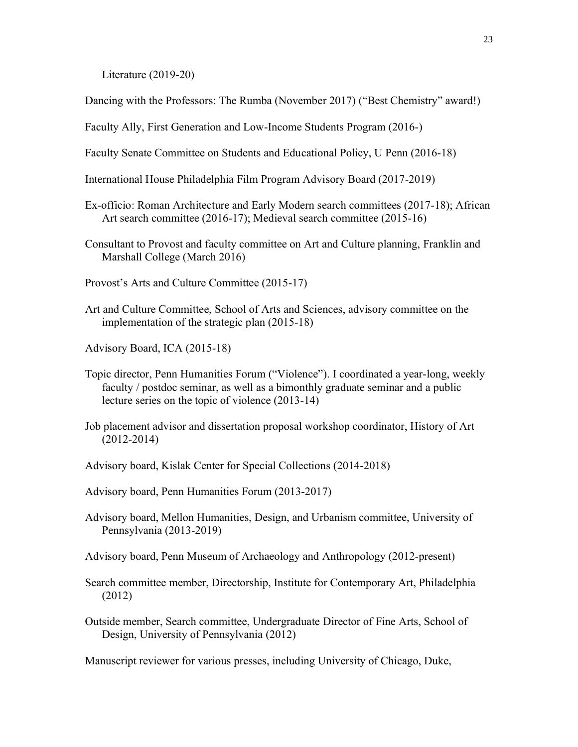Literature (2019-20)

Dancing with the Professors: The Rumba (November 2017) ("Best Chemistry" award!)

Faculty Ally, First Generation and Low-Income Students Program (2016-)

Faculty Senate Committee on Students and Educational Policy, U Penn (2016-18)

- International House Philadelphia Film Program Advisory Board (2017-2019)
- Ex-officio: Roman Architecture and Early Modern search committees (2017-18); African Art search committee (2016-17); Medieval search committee (2015-16)
- Consultant to Provost and faculty committee on Art and Culture planning, Franklin and Marshall College (March 2016)
- Provost's Arts and Culture Committee (2015-17)
- Art and Culture Committee, School of Arts and Sciences, advisory committee on the implementation of the strategic plan (2015-18)
- Advisory Board, ICA (2015-18)
- Topic director, Penn Humanities Forum ("Violence"). I coordinated a year-long, weekly faculty / postdoc seminar, as well as a bimonthly graduate seminar and a public lecture series on the topic of violence (2013-14)
- Job placement advisor and dissertation proposal workshop coordinator, History of Art (2012-2014)
- Advisory board, Kislak Center for Special Collections (2014-2018)

Advisory board, Penn Humanities Forum (2013-2017)

- Advisory board, Mellon Humanities, Design, and Urbanism committee, University of Pennsylvania (2013-2019)
- Advisory board, Penn Museum of Archaeology and Anthropology (2012-present)
- Search committee member, Directorship, Institute for Contemporary Art, Philadelphia (2012)
- Outside member, Search committee, Undergraduate Director of Fine Arts, School of Design, University of Pennsylvania (2012)

Manuscript reviewer for various presses, including University of Chicago, Duke,